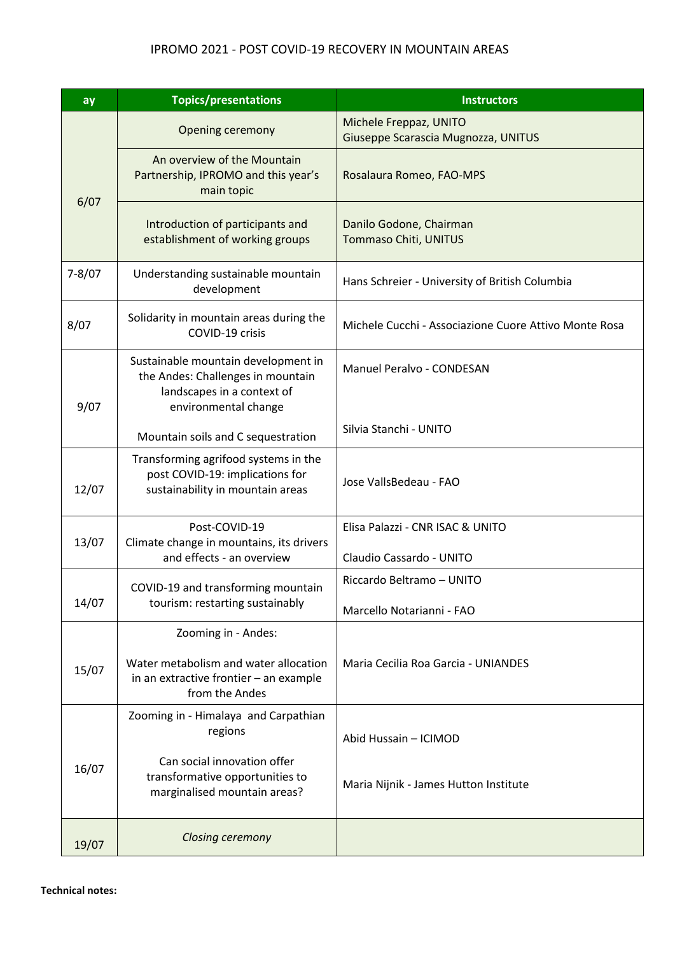## IPROMO 2021 - POST COVID-19 RECOVERY IN MOUNTAIN AREAS

| ay         | <b>Topics/presentations</b>                                                                                                    | <b>Instructors</b>                                            |
|------------|--------------------------------------------------------------------------------------------------------------------------------|---------------------------------------------------------------|
|            | <b>Opening ceremony</b>                                                                                                        | Michele Freppaz, UNITO<br>Giuseppe Scarascia Mugnozza, UNITUS |
| 6/07       | An overview of the Mountain<br>Partnership, IPROMO and this year's<br>main topic                                               | Rosalaura Romeo, FAO-MPS                                      |
|            | Introduction of participants and<br>establishment of working groups                                                            | Danilo Godone, Chairman<br>Tommaso Chiti, UNITUS              |
| $7 - 8/07$ | Understanding sustainable mountain<br>development                                                                              | Hans Schreier - University of British Columbia                |
| 8/07       | Solidarity in mountain areas during the<br>COVID-19 crisis                                                                     | Michele Cucchi - Associazione Cuore Attivo Monte Rosa         |
| 9/07       | Sustainable mountain development in<br>the Andes: Challenges in mountain<br>landscapes in a context of<br>environmental change | Manuel Peralvo - CONDESAN                                     |
|            | Mountain soils and C sequestration                                                                                             | Silvia Stanchi - UNITO                                        |
| 12/07      | Transforming agrifood systems in the<br>post COVID-19: implications for<br>sustainability in mountain areas                    | Jose VallsBedeau - FAO                                        |
| 13/07      | Post-COVID-19                                                                                                                  | Elisa Palazzi - CNR ISAC & UNITO                              |
|            | Climate change in mountains, its drivers<br>and effects - an overview                                                          | Claudio Cassardo - UNITO                                      |
| 14/07      | COVID-19 and transforming mountain<br>tourism: restarting sustainably                                                          | Riccardo Beltramo - UNITO                                     |
|            |                                                                                                                                | Marcello Notarianni - FAO                                     |
|            | Zooming in - Andes:                                                                                                            |                                                               |
| 15/07      | Water metabolism and water allocation<br>in an extractive frontier - an example<br>from the Andes                              | Maria Cecilia Roa Garcia - UNIANDES                           |
|            | Zooming in - Himalaya and Carpathian<br>regions                                                                                | Abid Hussain - ICIMOD                                         |
| 16/07      | Can social innovation offer<br>transformative opportunities to<br>marginalised mountain areas?                                 | Maria Nijnik - James Hutton Institute                         |
| 19/07      | <b>Closing ceremony</b>                                                                                                        |                                                               |